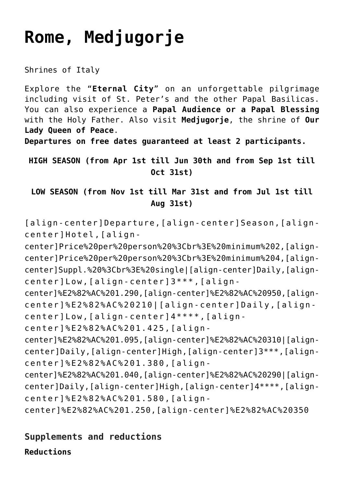# **[Rome, Medjugorje](https://rusconiviaggi.com/tour-item/private-pilgrimage-to-rome-and-medjugorje-7-days/)**

Shrines of Italy

Explore the "**Eternal City**" on an unforgettable pilgrimage including visit of St. Peter's and the other Papal Basilicas. You can also experience a **Papal Audience or a Papal Blessing** with the Holy Father. Also visit **Medjugorje**, the shrine of **Our Lady Queen of Peace**.

**Departures on free dates guaranteed at least 2 participants.**

**HIGH SEASON (from Apr 1st till Jun 30th and from Sep 1st till Oct 31st)**

**LOW SEASON (from Nov 1st till Mar 31st and from Jul 1st till Aug 31st)**

[align-center]Departure,[align-center]Season,[aligncenter]Hotel,[align-

center]Price%20per%20person%20%3Cbr%3E%20minimum%202,[aligncenter]Price%20per%20person%20%3Cbr%3E%20minimum%204,[aligncenter]Suppl.%20%3Cbr%3E%20single|[align-center]Daily,[aligncenter]Low,[align-center]3\*\*\*,[align-

center]%E2%82%AC%201.290,[align-center]%E2%82%AC%20950,[aligncenter]%E2%82%AC%20210|[align-center]Daily,[aligncenter]Low,[align-center]4\*\*\*\*,[align-

center]%E2%82%AC%201.425,[align-

center]%E2%82%AC%201.095,[align-center]%E2%82%AC%20310|[aligncenter]Daily,[align-center]High,[align-center]3\*\*\*,[aligncenter]%E2%82%AC%201.380,[align-

center]%E2%82%AC%201.040,[align-center]%E2%82%AC%20290|[aligncenter]Daily,[align-center]High,[align-center]4\*\*\*\*,[aligncenter]%E2%82%AC%201.580,[align-

center]%E2%82%AC%201.250,[align-center]%E2%82%AC%20350

# **Supplements and reductions**

**Reductions**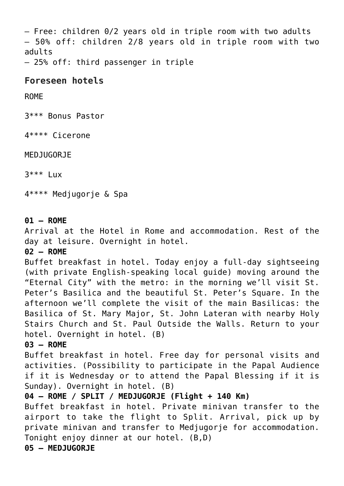– Free: children 0/2 years old in triple room with two adults – 50% off: children 2/8 years old in triple room with two adults

– 25% off: third passenger in triple

# **Foreseen hotels**

# ROME

3\*\*\* Bonus Pastor

4\*\*\*\* Cicerone

# MEDJUGORJE

 $3***$  Lux

4\*\*\*\* Medjugorje & Spa

## **01 – ROME**

Arrival at the Hotel in Rome and accommodation. Rest of the day at leisure. Overnight in hotel.

#### **02 – ROME**

Buffet breakfast in hotel. Today enjoy a full-day sightseeing (with private English-speaking local guide) moving around the "Eternal City" with the metro: in the morning we'll visit St. Peter's Basilica and the beautiful St. Peter's Square. In the afternoon we'll complete the visit of the main Basilicas: the Basilica of St. Mary Major, St. John Lateran with nearby Holy Stairs Church and St. Paul Outside the Walls. Return to your hotel. Overnight in hotel. (B)

#### **03 – ROME**

Buffet breakfast in hotel. Free day for personal visits and activities. (Possibility to participate in the Papal Audience if it is Wednesday or to attend the Papal Blessing if it is Sunday). Overnight in hotel. (B)

# **04 – ROME / SPLIT / MEDJUGORJE (Flight + 140 Km)**

Buffet breakfast in hotel. Private minivan transfer to the airport to take the flight to Split. Arrival, pick up by private minivan and transfer to Medjugorje for accommodation. Tonight enjoy dinner at our hotel. (B,D)

**05 – MEDJUGORJE**